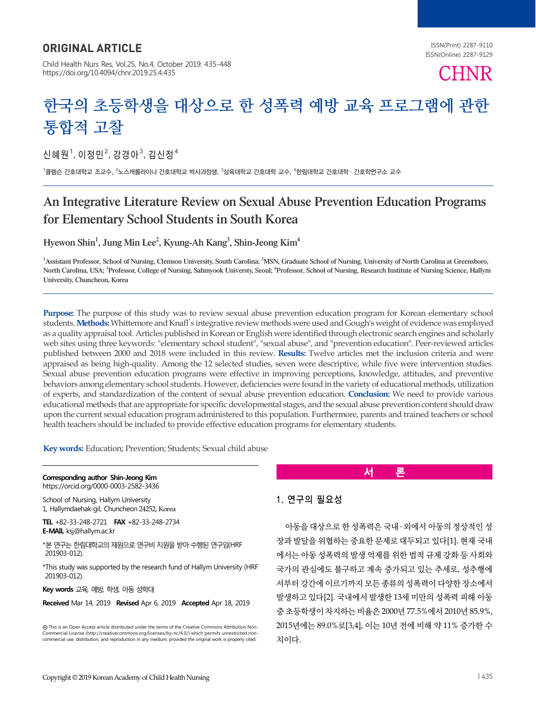# ORIGINAL ARTICLE

Child Health Nurs Res, Vol.25, No.4, October 2019: 435-448 https://doi.org/10.4094/chnr.2019.25.4.435

ISSN(Print) 2287-9110 ISSN(Online) 2287-9129

# **CHNR**

# **한국의 초등학생을 대상으로 한 성폭력 예방 교육 프로그램에 관한 통합적 고찰**

신혜원 $^1$ , 이정민 $^2$ , 강경아 $^3$ , 김신정 $^4$ 

<sup>1</sup>클렘슨 간호대학교 조교수, <sup>2</sup>노스캐롤라이나 간호대학교 박사과정생, <sup>3</sup>삼육대학교 간호대학 교수, <sup>4</sup>한림대학교 간호대학 · 간호학연구소 교수

# An Integrative Literature Review on Sexual Abuse Prevention Education Programs for Elementary School Students in South Korea

Hyewon Shin<sup>1</sup>, Jung Min Lee<sup>2</sup>, Kyung-Ah Kang<sup>3</sup>, Shin-Jeong Kim<sup>4</sup>

<sup>1</sup> Assistant Professor, School of Nursing, Clemson University, South Carolina; <sup>2</sup>MSN, Graduate School of Nursing, University of North Carolina at Greensboro, North Carolina, USA; <sup>3</sup>Professor, College of Nursing, Sahmyook Universty, Seoul; <sup>4</sup>Professor, School of Nursing, Research Institute of Nursing Science, Hallym University, Chuncheon, Korea

**Purpose:** The purpose of this study was to review sexual abuse prevention education program for Korean elementary school students. **Methods:** Whittemore and Knafl's integrative review methods were used and Gough's weight of evidence was employed as a quality appraisal tool. Articles published in Korean or English were identified through electronic search engines and scholarly web sites using three keywords: "elementary school student", "sexual abuse", and "prevention education". Peer-reviewed articles published between 2000 and 2018 were included in this review. **Results:** Twelve articles met the inclusion criteria and were appraised as being high-quality. Among the 12 selected studies, seven were descriptive, while five were intervention studies. Sexual abuse prevention education programs were effective in improving perceptions, knowledge, attitudes, and preventive behaviors among elementary school students. However, deficiencies were found in the variety of educational methods, utilization of experts, and standardization of the content of sexual abuse prevention education. **Conclusion:** We need to provide various educational methods that are appropriate for specific developmental stages, and the sexual abuse prevention content should draw upon the current sexual education program administered to this population. Furthermore, parents and trained teachers or school health teachers should be included to provide effective education programs for elementary students.

**Key words:** Education; Prevention; Students; Sexual child abuse

**Corresponding author Shin-Jeong Kim**

https://orcid.org/0000-0003-2582-3436 School of Nursing, Hallym University

1, Hallymdaehak-gil, Chuncheon 24252, Korea

**TEL** +82-33-248-2721 **FAX** +82-33-248-2734 **E-MAIL** ksj@hallym.ac.kr

\*본 연구는 한림대학교의 재원으로 연구비 지원을 받아 수행된 연구임(HRF 201903-012).

\*This study was supported by the research fund of Hallym University (HRF 201903-012).

**Key words** 교육, 예방, 학생, 아동 성학대

**Received** Mar 14, 2019 **Revised** Apr 6, 2019 **Accepted** Apr 18, 2019

This is an Open Access article distributed under the terms of the Creative Commons Attribution Non-Commercial License (http://creativecommons.org/licenses/by-nc/4.0/) which permits unrestricted noncommercial use, distribution, and reproduction in any medium, provided the original work is properly cited.

# **서 론**

# 1. 연구의 필요성

아동을 대상으로 한 성폭력은 국내 ․ 외에서 아동의 정상적인 성 장과 발달을 위협하는 중요한 문제로 대두되고 있다[1]. 현재 국내 에서는 아동 성폭력의 발생 억제를 위한 법적 규제 강화 등 사회와 국가의 관심에도 불구하고 계속 증가되고 있는 추세로, 성추행에 서부터 강간에 이르기까지 모든 종류의 성폭력이 다양한 장소에서 발생하고 있다[2]. 국내에서 발생한 13세 미만의 성폭력 피해 아동 중 초등학생이 차지하는 비율은 2000년 77.5%에서 2010년 85.9%, 2015년에는 89.0%로[3,4], 이는 10년 전에 비해 약 11% 증가한 수 치이다.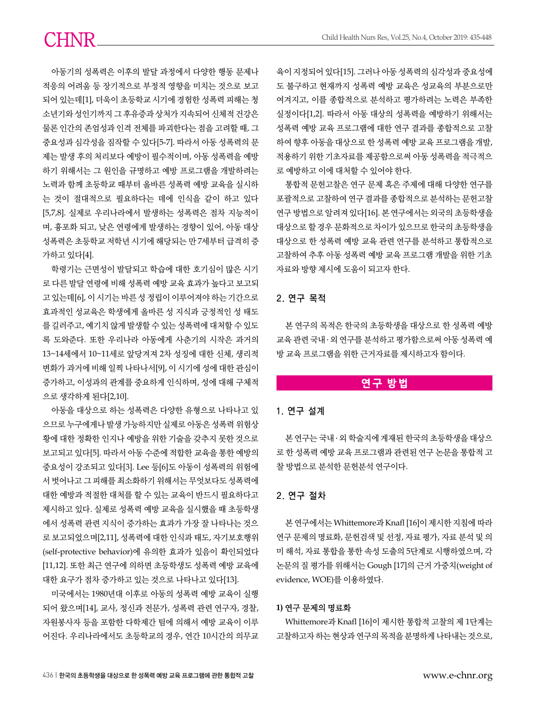아동기의 성폭력은 이후의 발달 과정에서 다양한 행동 문제나 적응의 어려움 등 장기적으로 부정적 영향을 미치는 것으로 보고 되어 있는데[1], 더욱이 초등학교 시기에 경험한 성폭력 피해는 청 소년기와 성인기까지 그 후유증과 상처가 지속되어 신체적 건강은 물론 인간의 존엄성과 인격 전체를 파괴한다는 점을 고려할 때, 그 중요성과 심각성을 짐작할 수 있다[5-7]. 따라서 아동 성폭력의 문 제는 발생 후의 처리보다 예방이 필수적이며, 아동 성폭력을 예방 하기 위해서는 그 원인을 규명하고 예방 프로그램을 개발하려는 노력과 함께 초등학교 때부터 올바른 성폭력 예방 교육을 실시하 는 것이 절대적으로 필요하다는 데에 인식을 같이 하고 있다 [5,7,8]. 실제로 우리나라에서 발생하는 성폭력은 점차 지능적이 며, 흉포화 되고, 낮은 연령에게 발생하는 경향이 있어, 아동 대상 성폭력은 초등학교 저학년 시기에 해당되는 만 7세부터 급격히 증 가하고 있다[4].

학령기는 근면성이 발달되고 학습에 대한 호기심이 많은 시기 로 다른 발달 연령에 비해 성폭력 예방 교육 효과가 높다고 보고되 고 있는데[6], 이 시기는 바른 성 정립이 이루어져야 하는 기간으로 효과적인 성교육은 학생에게 올바른 성 지식과 긍정적인 성 태도 를 길러주고, 예기치 않게 발생할 수 있는 성폭력에 대처할 수 있도 록 도와준다. 또한 우리나라 아동에게 사춘기의 시작은 과거의 13~14세에서 10~11세로 앞당겨져 2차 성징에 대한 신체, 생리적 변화가 과거에 비해 일찍 나타나서[9], 이 시기에 성에 대한 관심이 증가하고, 이성과의 관계를 중요하게 인식하며, 성에 대해 구체적 으로 생각하게 된다[2,10].

아동을 대상으로 하는 성폭력은 다양한 유형으로 나타나고 있 으므로 누구에게나 발생 가능하지만 실제로 아동은 성폭력 위험상 황에 대한 정확한 인지나 예방을 위한 기술을 갖추지 못한 것으로 보고되고 있다[5]. 따라서 아동 수준에 적합한 교육을 통한 예방의 중요성이 강조되고 있다[3]. Lee 등[6]도 아동이 성폭력의 위험에 서 벗어나고 그 피해를 최소화하기 위해서는 무엇보다도 성폭력에 대한 예방과 적절한 대처를 할 수 있는 교육이 반드시 필요하다고 제시하고 있다. 실제로 성폭력 예방 교육을 실시했을 때 초등학생 에서 성폭력 관련 지식이 증가하는 효과가 가장 잘 나타나는 것으 로 보고되었으며[2,11], 성폭력에 대한 인식과 태도, 자기보호행위 (self-protective behavior)에 유의한 효과가 있음이 확인되었다 [11,12]. 또한 최근 연구에 의하면 초등학생도 성폭력 예방 교육에 대한 요구가 점차 증가하고 있는 것으로 나타나고 있다[13].

미국에서는 1980년대 이후로 아동의 성폭력 예방 교육이 실행 되어 왔으며[14], 교사, 정신과 전문가, 성폭력 관련 연구자, 경찰, 자원봉사자 등을 포함한 다학제간 팀에 의해서 예방 교육이 이루 어진다. 우리나라에서도 초등학교의 경우, 연간 10시간의 의무교 육이 지정되어 있다[15]. 그러나 아동 성폭력의 심각성과 중요성에 도 불구하고 현재까지 성폭력 예방 교육은 성교육의 부분으로만 여겨지고, 이를 종합적으로 분석하고 평가하려는 노력은 부족한 실정이다[1,2]. 따라서 아동 대상의 성폭력을 예방하기 위해서는 성폭력 예방 교육 프로그램에 대한 연구 결과를 종합적으로 고찰 하여 향후 아동을 대상으로 한 성폭력 예방 교육 프로그램을 개발, 적용하기 위한 기초자료를 제공함으로써 아동 성폭력을 적극적으 로 예방하고 이에 대처할 수 있어야 한다.

통합적 문헌고찰은 연구 문제 혹은 주제에 대해 다양한 연구를 포괄적으로 고찰하여 연구 결과를 종합적으로 분석하는 문헌고찰 연구 방법으로 알려져 있다[16]. 본 연구에서는 외국의 초등학생을 대상으로 할 경우 문화적으로 차이가 있으므로 한국의 초등학생을 대상으로 한 성폭력 예방 교육 관련 연구를 분석하고 통합적으로 고찰하여 추후 아동 성폭력 예방 교육 프로그램 개발을 위한 기초 자료와 방향 제시에 도움이 되고자 한다.

# 2. 연구 목적

본 연구의 목적은 한국의 초등학생을 대상으로 한 성폭력 예방 교육 관련 국내 ․ 외 연구를 분석하고 평가함으로써 아동 성폭력 예 방 교육 프로그램을 위한 근거자료를 제시하고자 함이다.

# **연구 방법**

# 1. 연구 설계

본 연구는 국내 ․ 외 학술지에 게재된 한국의 초등학생을 대상으 로 한 성폭력 예방 교육 프로그램과 관련된 연구 논문을 통합적 고 찰 방법으로 분석한 문헌분석 연구이다.

# 2. 연구 절차

본 연구에서는 Whittemore과 Knafl [16]이 제시한 지침에 따라 연구 문제의 명료화, 문헌검색 및 선정, 자료 평가, 자료 분석 및 의 미 해석, 자료 통합을 통한 속성 도출의 5단계로 시행하였으며, 각 논문의 질 평가를 위해서는 Gough [17]의 근거 가중치(weight of evidence, WOE)를 이용하였다.

### **1)** 연구 문제의 명료화

Whittemore과 Knafl [16]이 제시한 통합적 고찰의 제 1단계는 고찰하고자 하는 현상과 연구의 목적을 분명하게 나타내는 것으로,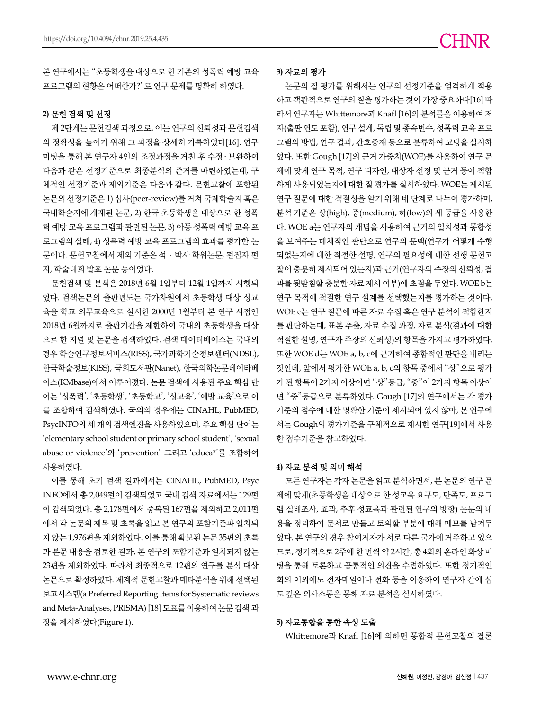본 연구에서는 "초등학생을 대상으로 한 기존의 성폭력 예방 교육 프로그램의 현황은 어떠한가?"로 연구 문제를 명확히 하였다.

### **2)** 문헌 검색 및 선정

제 2단계는 문헌검색 과정으로, 이는 연구의 신뢰성과 문헌검색 의 정확성을 높이기 위해 그 과정을 상세히 기록하였다[16]. 연구 미팅을 통해 본 연구자 4인의 조정과정을 거친 후 수정 ․ 보완하여 다음과 같은 선정기준으로 최종분석의 준거를 마련하였는데, 구 체적인 선정기준과 제외기준은 다음과 같다. 문헌고찰에 포함된 논문의 선정기준은 1) 심사(peer-review)를 거쳐 국제학술지 혹은 국내학술지에 게재된 논문, 2) 한국 초등학생을 대상으로 한 성폭 력 예방 교육 프로그램과 관련된 논문, 3) 아동 성폭력 예방 교육 프 로그램의 실태, 4) 성폭력 예방 교육 프로그램의 효과를 평가한 논 문이다. 문헌고찰에서 제외 기준은 석ㆍ박사 학위논문, 편집자 편 지, 학술대회 발표 논문 등이었다.

문헌검색 및 분석은 2018년 6월 1일부터 12월 1일까지 시행되 었다. 검색논문의 출판년도는 국가차원에서 초등학생 대상 성교 육을 학교 의무교육으로 실시한 2000년 1월부터 본 연구 시점인 2018년 6월까지로 출판기간을 제한하여 국내의 초등학생을 대상 으로 한 저널 및 논문을 검색하였다. 검색 데이터베이스는 국내의 경우 학술연구정보서비스(RISS), 국가과학기술정보센터(NDSL), 한국학술정보(KISS), 국회도서관(Nanet), 한국의학논문데이타베 이스(KMbase)에서 이루어졌다. 논문 검색에 사용된 주요 핵심 단 어는 '성폭력', '초등학생', '초등학교', '성교육', '예방 교육'으로 이 를 조합하여 검색하였다. 국외의 경우에는 CINAHL, PubMED, PsycINFO의 세 개의 검색엔진을 사용하였으며, 주요 핵심 단어는 'elementary school student or primary school student', 'sexual abuse or violence'와 'prevention' 그리고 'educa\*'를 조합하여 사용하였다.

이를 통해 초기 검색 결과에서는 CINAHL, PubMED, Psyc INFO에서 총 2,049편이 검색되었고 국내 검색 자료에서는 129편 이 검색되었다. 총 2,178편에서 중복된 167편을 제외하고 2,011편 에서 각 논문의 제목 및 초록을 읽고 본 연구의 포함기준과 일치되 지 않는 1,976편을 제외하였다. 이를 통해 확보된 논문 35편의 초록 과 본문 내용을 검토한 결과, 본 연구의 포함기준과 일치되지 않는 23편을 제외하였다. 따라서 최종적으로 12편의 연구를 분석 대상 논문으로 확정하였다. 체계적 문헌고찰과 메타분석을 위해 선택된 보고시스템(a Preferred Reporting Items for Systematic reviews and Meta-Analyses, PRISMA) [18] 도표를 이용하여 논문 검색 과 정을 제시하였다(Figure 1).

### **3)** 자료의 평가

논문의 질 평가를 위해서는 연구의 선정기준을 엄격하게 적용 하고 객관적으로 연구의 질을 평가하는 것이 가장 중요하다[16] 따 라서 연구자는 Whittemore과 Knafl [16]의 분석틀을 이용하여 저 자(출판 연도 포함), 연구 설계, 독립 및 종속변수, 성폭력 교육 프로 그램의 방법, 연구 결과, 간호중재 등으로 분류하여 코딩을 실시하 였다. 또한 Gough [17]의 근거 가중치(WOE)를 사용하여 연구 문 제에 맞게 연구 목적, 연구 디자인, 대상자 선정 및 근거 등이 적합 하게 사용되었는지에 대한 질 평가를 실시하였다. WOE는 제시된 연구 질문에 대한 적절성을 알기 위해 네 단계로 나누어 평가하며, 분석 기준은 상(high), 중(medium), 하(low)의 세 등급을 사용한 다. WOE a는 연구자의 개념을 사용하여 근거의 일치성과 통합성 을 보여주는 대체적인 판단으로 연구의 문맥(연구가 어떻게 수행 되었는지에 대한 적절한 설명, 연구의 필요성에 대한 선행 문헌고 찰이 충분히 제시되어 있는지)과 근거(연구자의 주장의 신뢰성, 결 과를 뒷받침할 충분한 자료 제시 여부)에 초점을 두었다. WOE b는 연구 목적에 적절한 연구 설계를 선택했는지를 평가하는 것이다. WOE c는 연구 질문에 따른 자료 수집 혹은 연구 분석이 적합한지 를 판단하는데, 표본 추출, 자료 수집 과정, 자료 분석(결과에 대한 적절한 설명, 연구자 주장의 신뢰성)의 항목을 가지고 평가하였다. 또한 WOE d는 WOE a, b, c에 근거하여 종합적인 판단을 내리는 것인데, 앞에서 평가한 WOE a, b, c의 항목 중에서 "상"으로 평가 가 된 항목이 2가지 이상이면 "상"등급, "중"이 2가지 항목 이상이 면 "중"등급으로 분류하였다. Gough [17]의 연구에서는 각 평가 기준의 점수에 대한 명확한 기준이 제시되어 있지 않아, 본 연구에 서는 Gough의 평가기준을 구체적으로 제시한 연구[19]에서 사용 한 점수기준을 참고하였다.

### **4)** 자료 분석 및 의미 해석

모든 연구자는 각자 논문을 읽고 분석하면서, 본 논문의 연구 문 제에 맞게(초등학생을 대상으로 한 성교육 요구도, 만족도, 프로그 램 실태조사, 효과, 추후 성교육과 관련된 연구의 방향) 논문의 내 용을 정리하여 문서로 만들고 토의할 부분에 대해 메모를 남겨두 었다. 본 연구의 경우 참여저자가 서로 다른 국가에 거주하고 있으 므로, 정기적으로 2주에 한 번씩 약 2시간, 총 4회의 온라인 화상 미 팅을 통해 토론하고 공통적인 의견을 수렴하였다. 또한 정기적인 회의 이외에도 전자메일이나 전화 등을 이용하여 연구자 간에 심 도 깊은 의사소통을 통해 자료 분석을 실시하였다.

### **5)** 자료통합을 통한 속성 도출

Whittemore과 Knafl [16]에 의하면 통합적 문헌고찰의 결론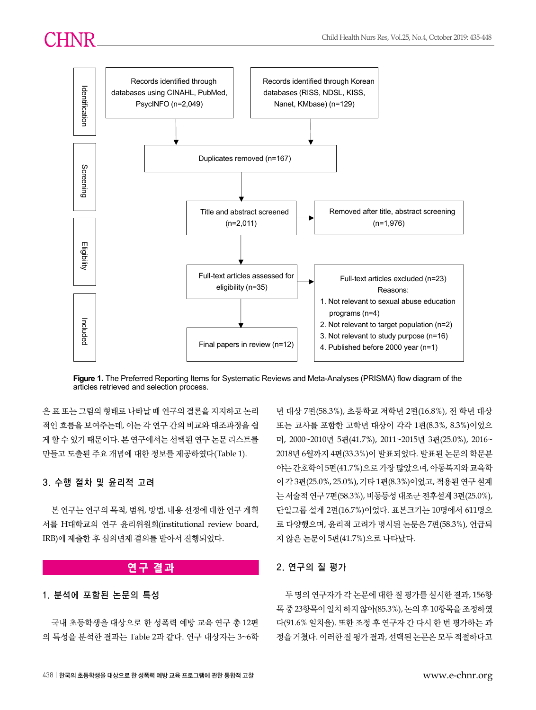

**Figure 1.** The Preferred Reporting Items for Systematic Reviews and Meta-Analyses (PRISMA) flow diagram of the articles retrieved and selection process.

은 표 또는 그림의 형태로 나타날 때 연구의 결론을 지지하고 논리 적인 흐름을 보여주는데, 이는 각 연구 간의 비교와 대조과정을 쉽 게 할 수 있기 때문이다. 본 연구에서는 선택된 연구 논문 리스트를 만들고 도출된 주요 개념에 대한 정보를 제공하였다(Table 1).

# 3. 수행 절차 및 윤리적 고려

본 연구는 연구의 목적, 범위, 방법, 내용 선정에 대한 연구 계획 서를 H대학교의 연구 윤리위원회(institutional review board, IRB)에 제출한 후 심의면제 결의를 받아서 진행되었다.

# **연구 결과**

# 1. 분석에 포함된 논문의 특성

국내 초등학생을 대상으로 한 성폭력 예방 교육 연구 총 12편 의 특성을 분석한 결과는 Table 2과 같다. 연구 대상자는 3~6학

년 대상 7편(58.3%), 초등학교 저학년 2편(16.8%), 전 학년 대상 또는 교사를 포함한 고학년 대상이 각각 1편(8.3%, 8.3%)이었으 며, 2000~2010년 5편(41.7%), 2011~2015년 3편(25.0%), 2016~ 2018년 6월까지 4편(33.3%)이 발표되었다. 발표된 논문의 학문분 야는 간호학이 5편(41.7%)으로 가장 많았으며, 아동복지와 교육학 이 각 3편(25.0%, 25.0%), 기타 1편(8.3%)이었고, 적용된 연구 설계 는 서술적 연구 7편(58.3%), 비동등성 대조군 전후설계 3편(25.0%), 단일그룹 설계 2편(16.7%)이었다. 표본크기는 10명에서 611명으 로 다양했으며, 윤리적 고려가 명시된 논문은 7편(58.3%), 언급되 지 않은 논문이 5편(41.7%)으로 나타났다.

# 2. 연구의 질 평가

두 명의 연구자가 각 논문에 대한 질 평가를 실시한 결과, 156항 목 중 23항목이 일치 하지 않아(85.3%), 논의 후 10항목을 조정하였 다(91.6% 일치율). 또한 조정 후 연구자 간 다시 한 번 평가하는 과 정을 거쳤다. 이러한 질 평가 결과, 선택된 논문은 모두 적절하다고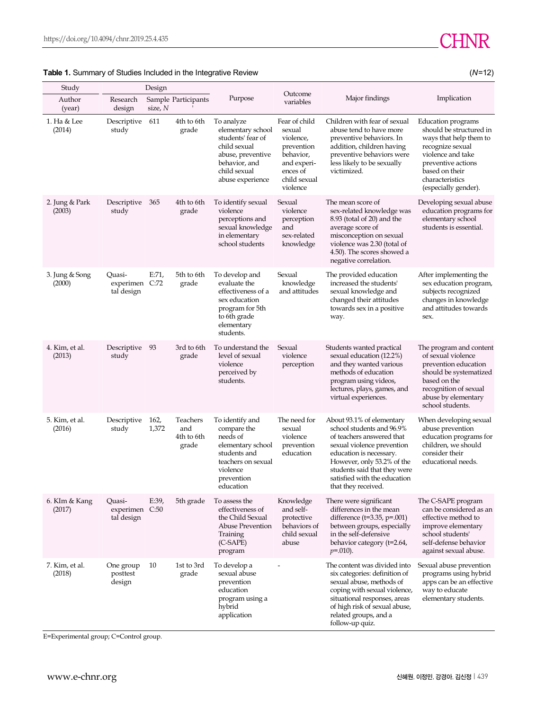# **Table 1.** Summary of Studies Included in the Integrative Review (*N*=12)

| Study                    |                                        | Design        |                                        |                                                                                                                                                |                                                                                                                                                                                                                                                                                                                                    |                                                                                                                                                                                                                                        |                                                                                                                                                                                                     |  |
|--------------------------|----------------------------------------|---------------|----------------------------------------|------------------------------------------------------------------------------------------------------------------------------------------------|------------------------------------------------------------------------------------------------------------------------------------------------------------------------------------------------------------------------------------------------------------------------------------------------------------------------------------|----------------------------------------------------------------------------------------------------------------------------------------------------------------------------------------------------------------------------------------|-----------------------------------------------------------------------------------------------------------------------------------------------------------------------------------------------------|--|
| Author<br>(year)         | Research<br>design                     | size, N       | Sample Participants                    | Purpose                                                                                                                                        | Outcome<br>variables                                                                                                                                                                                                                                                                                                               | Major findings                                                                                                                                                                                                                         | Implication                                                                                                                                                                                         |  |
| 1. Ha & Lee<br>(2014)    | Descriptive<br>study                   | 611           | 4th to 6th<br>grade                    | To analyze<br>elementary school<br>students' fear of<br>child sexual<br>abuse, preventive<br>behavior, and<br>child sexual<br>abuse experience | Fear of child<br>sexual<br>violence,<br>prevention<br>behavior,<br>and experi-<br>ences of<br>child sexual<br>violence                                                                                                                                                                                                             | Children with fear of sexual<br>abuse tend to have more<br>preventive behaviors. In<br>addition, children having<br>preventive behaviors were<br>less likely to be sexually<br>victimized.                                             | Education programs<br>should be structured in<br>ways that help them to<br>recognize sexual<br>violence and take<br>preventive actions<br>based on their<br>characteristics<br>(especially gender). |  |
| 2. Jung & Park<br>(2003) | Descriptive<br>study                   | 365           | 4th to 6th<br>grade                    | To identify sexual<br>violence<br>perceptions and<br>sexual knowledge<br>in elementary<br>school students                                      | Sexual<br>violence<br>perception<br>and<br>sex-related<br>knowledge                                                                                                                                                                                                                                                                | The mean score of<br>sex-related knowledge was<br>$8.93$ (total of 20) and the<br>average score of<br>misconception on sexual<br>violence was 2.30 (total of<br>4.50). The scores showed a<br>negative correlation.                    | Developing sexual abuse<br>education programs for<br>elementary school<br>students is essential.                                                                                                    |  |
| 3. Jung & Song<br>(2000) | Ouasi-<br>experimen C:72<br>tal design | E:71,         | 5th to 6th<br>grade                    | To develop and<br>evaluate the<br>effectiveness of a<br>sex education<br>program for 5th<br>to 6th grade<br>elementary<br>students.            | Sexual<br>knowledge<br>and attitudes                                                                                                                                                                                                                                                                                               | The provided education<br>increased the students'<br>sexual knowledge and<br>changed their attitudes<br>towards sex in a positive<br>way.                                                                                              | After implementing the<br>sex education program,<br>subjects recognized<br>changes in knowledge<br>and attitudes towards<br>sex.                                                                    |  |
| 4. Kim, et al.<br>(2013) | Descriptive<br>study                   | 93            | 3rd to 6th<br>grade                    | To understand the<br>level of sexual<br>violence<br>perceived by<br>students.                                                                  | Sexual<br>violence<br>perception                                                                                                                                                                                                                                                                                                   | Students wanted practical<br>sexual education (12.2%)<br>and they wanted various<br>methods of education<br>program using videos,<br>lectures, plays, games, and<br>virtual experiences.                                               | The program and content<br>of sexual violence<br>prevention education<br>should be systematized<br>based on the<br>recognition of sexual<br>abuse by elementary<br>school students.                 |  |
| 5. Kim, et al.<br>(2016) | Descriptive<br>study                   | 162,<br>1,372 | Teachers<br>and<br>4th to 6th<br>grade | To identify and<br>compare the<br>needs of<br>elementary school<br>students and<br>teachers on sexual<br>violence<br>prevention<br>education   | The need for<br>About 93.1% of elementary<br>school students and 96.9%<br>sexual<br>violence<br>of teachers answered that<br>prevention<br>sexual violence prevention<br>education<br>education is necessary.<br>However, only 53.2% of the<br>students said that they were<br>satisfied with the education<br>that they received. |                                                                                                                                                                                                                                        | When developing sexual<br>abuse prevention<br>education programs for<br>children, we should<br>consider their<br>educational needs.                                                                 |  |
| 6. KIm & Kang<br>(2017)  | Quasi-<br>experimen C:50<br>tal design | E:39,         | 5th grade                              | To assess the<br>effectiveness of<br>the Child Sexual<br>Abuse Prevention<br>Training<br>(C-SAPE)<br>program                                   | Knowledge<br>and self-<br>protective<br>behaviors of<br>child sexual<br>abuse                                                                                                                                                                                                                                                      | There were significant<br>differences in the mean<br>difference ( $t=3.35$ , $p=.001$ )<br>between groups, especially<br>in the self-defensive<br>behavior category (t=2.64,<br>$p=.010$ ).                                            | The C-SAPE program<br>can be considered as an<br>effective method to<br>improve elementary<br>school students'<br>self-defense behavior<br>against sexual abuse.                                    |  |
| 7. Kim, et al.<br>(2018) | One group<br>posttest<br>design        | 10            | 1st to 3rd<br>grade                    | To develop a<br>sexual abuse<br>prevention<br>education<br>program using a<br>hybrid<br>application                                            |                                                                                                                                                                                                                                                                                                                                    | The content was divided into<br>six categories: definition of<br>sexual abuse, methods of<br>coping with sexual violence,<br>situational responses, areas<br>of high risk of sexual abuse,<br>related groups, and a<br>follow-up quiz. | Sexual abuse prevention<br>programs using hybrid<br>apps can be an effective<br>way to educate<br>elementary students.                                                                              |  |

E=Experimental group; C=Control group.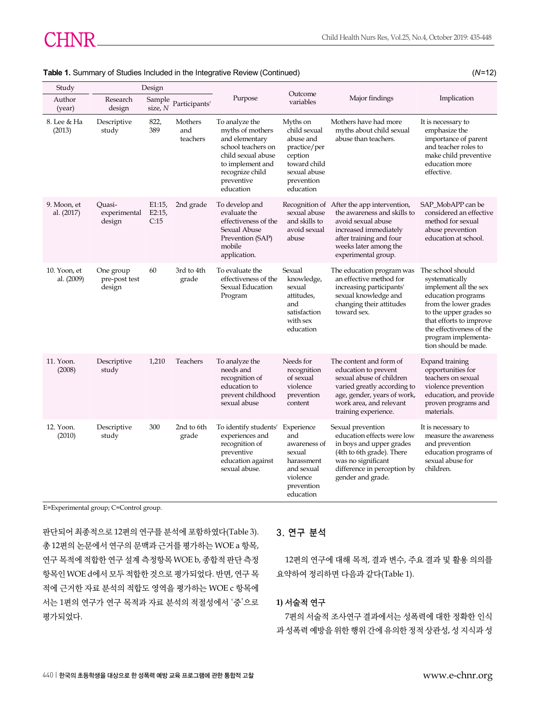| Study                      | Design                               |                        |                            |                                                                                                                                                                    |                                                                                                                                                                                                                                                               |                                                                                                                                                                                              |                                                                                                                                                                                                                                             |  |
|----------------------------|--------------------------------------|------------------------|----------------------------|--------------------------------------------------------------------------------------------------------------------------------------------------------------------|---------------------------------------------------------------------------------------------------------------------------------------------------------------------------------------------------------------------------------------------------------------|----------------------------------------------------------------------------------------------------------------------------------------------------------------------------------------------|---------------------------------------------------------------------------------------------------------------------------------------------------------------------------------------------------------------------------------------------|--|
| Author<br>(year)           | Research<br>design                   | Sample<br>size, N      | Participants'              | Purpose                                                                                                                                                            | Outcome<br>variables                                                                                                                                                                                                                                          | Major findings                                                                                                                                                                               | Implication                                                                                                                                                                                                                                 |  |
| 8. Lee & Ha<br>(2013)      | Descriptive<br>study                 | 822,<br>389            | Mothers<br>and<br>teachers | To analyze the<br>myths of mothers<br>and elementary<br>school teachers on<br>child sexual abuse<br>to implement and<br>recognize child<br>preventive<br>education | Myths on<br>child sexual<br>abuse and<br>practice/per<br>ception<br>toward child<br>sexual abuse<br>prevention<br>education                                                                                                                                   | Mothers have had more<br>myths about child sexual<br>abuse than teachers.                                                                                                                    | It is necessary to<br>emphasize the<br>importance of parent<br>and teacher roles to<br>make child preventive<br>education more<br>effective.                                                                                                |  |
| 9. Moon, et<br>al. (2017)  | Ouasi-<br>experimental<br>design     | E1:15<br>E2:15<br>C:15 | 2nd grade                  | To develop and<br>evaluate the<br>effectiveness of the<br>Sexual Abuse<br>Prevention (SAP)<br>mobile<br>application.                                               | Recognition of After the app intervention,<br>sexual abuse<br>the awareness and skills to<br>and skills to<br>avoid sexual abuse<br>avoid sexual<br>increased immediately<br>abuse<br>after training and four<br>weeks later among the<br>experimental group. |                                                                                                                                                                                              | SAP_MobAPP can be<br>considered an effective<br>method for sexual<br>abuse prevention<br>education at school.                                                                                                                               |  |
| 10. Yoon, et<br>al. (2009) | One group<br>pre-post test<br>design | 60                     | 3rd to 4th<br>grade        | To evaluate the<br>effectiveness of the<br>Sexual Education<br>Program                                                                                             | Sexual<br>knowledge,<br>sexual<br>attitudes,<br>and<br>satisfaction<br>with sex<br>education                                                                                                                                                                  | The education program was<br>an effective method for<br>increasing participants'<br>sexual knowledge and<br>changing their attitudes<br>toward sex.                                          | The school should<br>systematically<br>implement all the sex<br>education programs<br>from the lower grades<br>to the upper grades so<br>that efforts to improve<br>the effectiveness of the<br>program implementa-<br>tion should be made. |  |
| 11. Yoon.<br>(2008)        | Descriptive<br>study                 | 1,210                  | Teachers                   | To analyze the<br>needs and<br>recognition of<br>education to<br>prevent childhood<br>sexual abuse                                                                 | Needs for<br>recognition<br>of sexual<br>violence<br>prevention<br>content                                                                                                                                                                                    | The content and form of<br>education to prevent<br>sexual abuse of children<br>varied greatly according to<br>age, gender, years of work,<br>work area, and relevant<br>training experience. | Expand training<br>opportunities for<br>teachers on sexual<br>violence prevention<br>education, and provide<br>proven programs and<br>materials.                                                                                            |  |
| 12. Yoon.<br>(2010)        | Descriptive<br>study                 | 300                    | 2nd to 6th<br>grade        | To identify students'<br>experiences and<br>recognition of<br>preventive<br>education against<br>sexual abuse.                                                     | Experience<br>and<br>awareness of<br>sexual<br>harassment<br>and sexual<br>violence<br>prevention<br>education                                                                                                                                                | Sexual prevention<br>education effects were low<br>in boys and upper grades<br>(4th to 6th grade). There<br>was no significant<br>difference in perception by<br>gender and grade.           | It is necessary to<br>measure the awareness<br>and prevention<br>education programs of<br>sexual abuse for<br>children.                                                                                                                     |  |

### **Table 1.** Summary of Studies Included in the Integrative Review (Continued) (*N*=12)

E=Experimental group; C=Control group.

판단되어 최종적으로 12편의 연구를 분석에 포함하였다(Table 3). 총 12편의 논문에서 연구의 문맥과 근거를 평가하는 WOE a 항목, 연구 목적에 적합한 연구 설계 측정항목 WOE b, 종합적 판단 측정 항목인 WOE d에서 모두 적합한 것으로 평가되었다. 반면, 연구 목 적에 근거한 자료 분석의 적합도 영역을 평가하는 WOE c 항목에 서는 1편의 연구가 연구 목적과 자료 분석의 적절성에서 '중'으로 평가되었다.

# 3. 연구 분석

12편의 연구에 대해 목적, 결과 변수, 주요 결과 및 활용 의의를 요약하여 정리하면 다음과 같다(Table 1).

# **1)** 서술적 연구

7편의 서술적 조사연구 결과에서는 성폭력에 대한 정확한 인식 과 성폭력 예방을 위한 행위 간에 유의한 정적 상관성, 성 지식과 성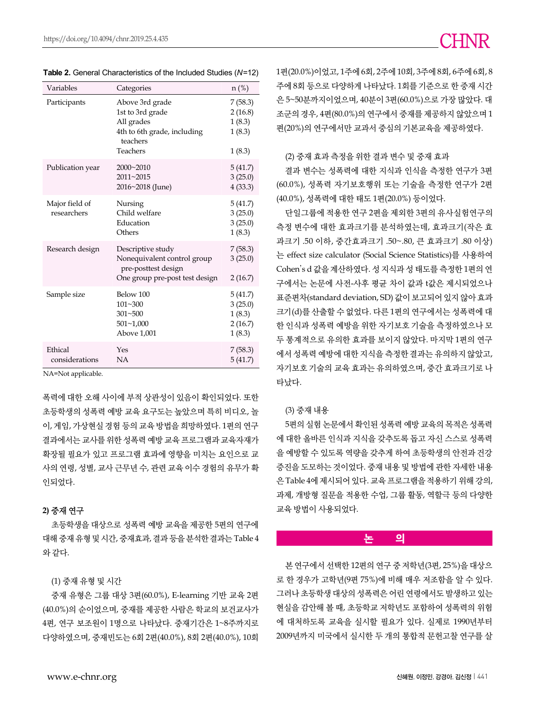| Variables                     | Categories                                                                                                      | $n$ (%)                                           |
|-------------------------------|-----------------------------------------------------------------------------------------------------------------|---------------------------------------------------|
| Participants                  | Above 3rd grade<br>1st to 3rd grade<br>All grades<br>4th to 6th grade, including<br>teachers<br><b>Teachers</b> | 7(58.3)<br>2(16.8)<br>1(8.3)<br>1(8.3)<br>1(8.3)  |
| Publication year              | 2000~2010<br>2011~2015<br>2016~2018 (June)                                                                      | 5(41.7)<br>3(25.0)<br>4(33.3)                     |
| Major field of<br>researchers | Nursing<br>Child welfare<br>Education<br>Others                                                                 | 5(41.7)<br>3(25.0)<br>3(25.0)<br>1(8.3)           |
| Research design               | Descriptive study<br>Nonequivalent control group<br>pre-posttest design<br>One group pre-post test design       | 7(58.3)<br>3(25.0)<br>2(16.7)                     |
| Sample size                   | Below 100<br>101~300<br>$301 - 500$<br>$501 - 1,000$<br>Above 1,001                                             | 5(41.7)<br>3(25.0)<br>1(8.3)<br>2(16.7)<br>1(8.3) |
| Ethical<br>considerations     | Yes<br>NA                                                                                                       | 7(58.3)<br>5(41.7)                                |

**Table 2.** General Characteristics of the Included Studies (*N*=12)

NA=Not applicable.

폭력에 대한 오해 사이에 부적 상관성이 있음이 확인되었다. 또한 초등학생의 성폭력 예방 교육 요구도는 높았으며 특히 비디오, 놀 이, 게임, 가상현실 경험 등의 교육 방법을 희망하였다. 1편의 연구 결과에서는 교사를 위한 성폭력 예방 교육 프로그램과 교육자재가 확장될 필요가 있고 프로그램 효과에 영향을 미치는 요인으로 교 사의 연령, 성별, 교사 근무년 수, 관련 교육 이수 경험의 유무가 확 인되었다.

### **2)** 중재 연구

초등학생을 대상으로 성폭력 예방 교육을 제공한 5편의 연구에 대해 중재 유형 및 시간, 중재효과, 결과 등을 분석한 결과는 Table 4 와 같다.

### (1) 중재 유형 및 시간

중재 유형은 그룹 대상 3편(60.0%), E-learning 기반 교육 2편 (40.0%)의 순이었으며, 중재를 제공한 사람은 학교의 보건교사가 4편, 연구 보조원이 1명으로 나타났다. 중재기간은 1~8주까지로 다양하였으며, 중재빈도는 6회 2편(40.0%), 8회 2편(40.0%), 10회

1편(20.0%)이었고, 1주에 6회, 2주에 10회, 3주에 8회, 6주에 6회, 8 주에 8회 등으로 다양하게 나타났다. 1회를 기준으로 한 중재 시간 은 5~50분까지이었으며, 40분이 3편(60.0%)으로 가장 많았다. 대 조군의 경우, 4편(80.0%)의 연구에서 중재를 제공하지 않았으며 1 편(20%)의 연구에서만 교과서 중심의 기본교육을 제공하였다.

### (2) 중재 효과 측정을 위한 결과 변수 및 중재 효과

결과 변수는 성폭력에 대한 지식과 인식을 측정한 연구가 3편 (60.0%), 성폭력 자기보호행위 또는 기술을 측정한 연구가 2편 (40.0%), 성폭력에 대한 태도 1편(20.0%) 등이었다.

단일그룹에 적용한 연구 2편을 제외한 3편의 유사실험연구의 측정 변수에 대한 효과크기를 분석하였는데, 효과크기(작은 효 과크기 .50 이하, 중간효과크기 .50~.80, 큰 효과크기 .80 이상) 는 effect size calculator (Social Science Statistics)를 사용하여 Cohen's d 값을 계산하였다. 성 지식과 성 태도를 측정한 1편의 연 구에서는 논문에 사전-사후 평균 차이 값과 t값은 제시되었으나 표준편차(standard deviation, SD) 값이 보고되어 있지 않아 효과 크기(d)를 산출할 수 없었다. 다른 1편의 연구에서는 성폭력에 대 한 인식과 성폭력 예방을 위한 자기보호 기술을 측정하였으나 모 두 통계적으로 유의한 효과를 보이지 않았다. 마지막 1편의 연구 에서 성폭력 예방에 대한 지식을 측정한 결과는 유의하지 않았고, 자기보호 기술의 교육 효과는 유의하였으며, 중간 효과크기로 나 타났다.

### (3) 중재 내용

5편의 실험 논문에서 확인된 성폭력 예방 교육의 목적은 성폭력 에 대한 올바른 인식과 지식을 갖추도록 돕고 자신 스스로 성폭력 을 예방할 수 있도록 역량을 갖추게 하여 초등학생의 안전과 건강 증진을 도모하는 것이었다. 중재 내용 및 방법에 관한 자세한 내용 은 Table 4에 제시되어 있다. 교육 프로그램을 적용하기 위해 강의, 과제, 개방형 질문을 적용한 수업, 그룹 활동, 역할극 등의 다양한 교육 방법이 사용되었다.

### **논 의**

본 연구에서 선택한 12편의 연구 중 저학년(3편, 25%)을 대상으 로 한 경우가 고학년(9편 75%)에 비해 매우 저조함을 알 수 있다. 그러나 초등학생 대상의 성폭력은 어린 연령에서도 발생하고 있는 현실을 감안해 볼 때, 초등학교 저학년도 포함하여 성폭력의 위험 에 대처하도록 교육을 실시할 필요가 있다. 실제로 1990년부터 2009년까지 미국에서 실시한 두 개의 통합적 문헌고찰 연구를 살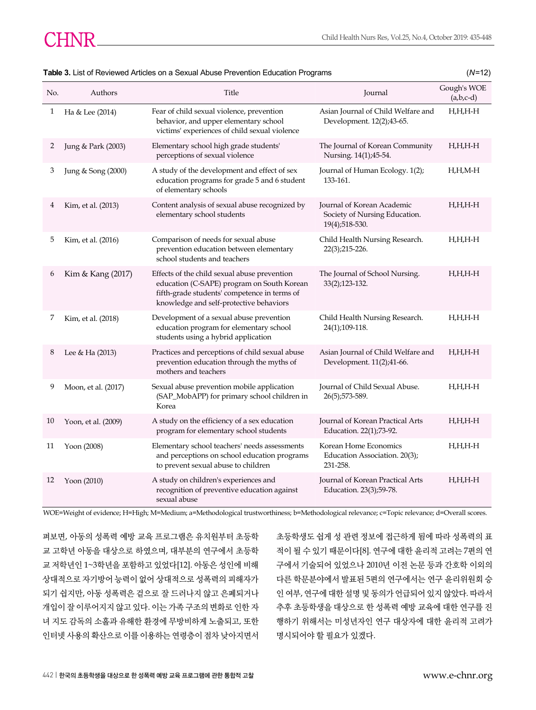| No. | Authors             | Title                                                                                                                                                                                 | Journal                                                                       | Gough's WOE<br>$(a,b,c-d)$ |
|-----|---------------------|---------------------------------------------------------------------------------------------------------------------------------------------------------------------------------------|-------------------------------------------------------------------------------|----------------------------|
| 1   | Ha & Lee (2014)     | Fear of child sexual violence, prevention<br>behavior, and upper elementary school<br>victims' experiences of child sexual violence                                                   | Asian Journal of Child Welfare and<br>Development. 12(2);43-65.               | H,H,H-H                    |
| 2   | Jung & Park (2003)  | Elementary school high grade students'<br>perceptions of sexual violence                                                                                                              | The Journal of Korean Community<br>Nursing. 14(1);45-54.                      | $H, H, H$ -H               |
| 3   | Jung & Song (2000)  | A study of the development and effect of sex<br>education programs for grade 5 and 6 student<br>of elementary schools                                                                 | Journal of Human Ecology. 1(2);<br>133-161.                                   | $H,H,M-H$                  |
| 4   | Kim, et al. (2013)  | Content analysis of sexual abuse recognized by<br>elementary school students                                                                                                          | Journal of Korean Academic<br>Society of Nursing Education.<br>19(4);518-530. | H,H,H-H                    |
| 5   | Kim, et al. (2016)  | Comparison of needs for sexual abuse<br>prevention education between elementary<br>school students and teachers                                                                       | Child Health Nursing Research.<br>22(3);215-226.                              | H,H,H-H                    |
| 6   | Kim & Kang (2017)   | Effects of the child sexual abuse prevention<br>education (C-SAPE) program on South Korean<br>fifth-grade students' competence in terms of<br>knowledge and self-protective behaviors | The Journal of School Nursing.<br>33(2);123-132.                              | $H,H,H-H$                  |
| 7   | Kim, et al. (2018)  | Development of a sexual abuse prevention<br>education program for elementary school<br>students using a hybrid application                                                            | Child Health Nursing Research.<br>24(1);109-118.                              | $H,H,H-H$                  |
| 8   | Lee & Ha (2013)     | Practices and perceptions of child sexual abuse<br>prevention education through the myths of<br>mothers and teachers                                                                  | Asian Journal of Child Welfare and<br>Development. 11(2);41-66.               | $H, H, H$ - $H$            |
| 9   | Moon, et al. (2017) | Sexual abuse prevention mobile application<br>(SAP_MobAPP) for primary school children in<br>Korea                                                                                    | Journal of Child Sexual Abuse.<br>26(5);573-589.                              | H,H,H-H                    |
| 10  | Yoon, et al. (2009) | A study on the efficiency of a sex education<br>program for elementary school students                                                                                                | Journal of Korean Practical Arts<br>Education. 22(1);73-92.                   | $H,H,H-H$                  |
| 11  | Yoon (2008)         | Elementary school teachers' needs assessments<br>and perceptions on school education programs<br>to prevent sexual abuse to children                                                  | Korean Home Economics<br>Education Association. 20(3);<br>231-258.            | $H,H,H-H$                  |
| 12  | Yoon $(2010)$       | A study on children's experiences and<br>recognition of preventive education against<br>sexual abuse                                                                                  | Journal of Korean Practical Arts<br>Education. 23(3);59-78.                   | H,H,H-H                    |

### **Table 3.** List of Reviewed Articles on a Sexual Abuse Prevention Education Programs (*N*=12)

WOE=Weight of evidence; H=High; M=Medium; a=Methodological trustworthiness; b=Methodological relevance; c=Topic relevance; d=Overall scores.

펴보면, 아동의 성폭력 예방 교육 프로그램은 유치원부터 초등학 교 고학년 아동을 대상으로 하였으며, 대부분의 연구에서 초등학 교 저학년인 1~3학년을 포함하고 있었다[12]. 아동은 성인에 비해 상대적으로 자기방어 능력이 없어 상대적으로 성폭력의 피해자가 되기 쉽지만, 아동 성폭력은 겉으로 잘 드러나지 않고 은폐되거나 개입이 잘 이루어지지 않고 있다. 이는 가족 구조의 변화로 인한 자 녀 지도 감독의 소홀과 유해한 환경에 무방비하게 노출되고, 또한 인터넷 사용의 확산으로 이를 이용하는 연령층이 점차 낮아지면서

초등학생도 쉽게 성 관련 정보에 접근하게 됨에 따라 성폭력의 표 적이 될 수 있기 때문이다[8]. 연구에 대한 윤리적 고려는 7편의 연 구에서 기술되어 있었으나 2010년 이전 논문 등과 간호학 이외의 다른 학문분야에서 발표된 5편의 연구에서는 연구 윤리위원회 승 인 여부, 연구에 대한 설명 및 동의가 언급되어 있지 않았다. 따라서 추후 초등학생을 대상으로 한 성폭력 예방 교육에 대한 연구를 진 행하기 위해서는 미성년자인 연구 대상자에 대한 윤리적 고려가 명시되어야 할 필요가 있겠다.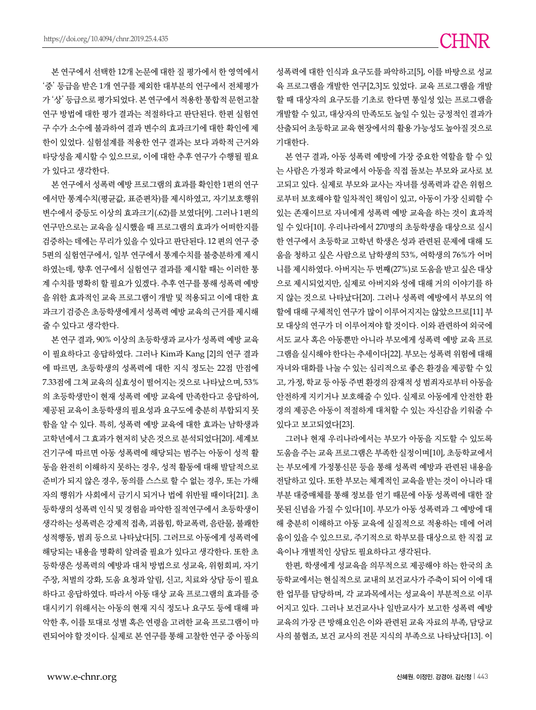본 연구에서 선택한 12개 논문에 대한 질 평가에서 한 영역에서 '중' 등급을 받은 1개 연구를 제외한 대부분의 연구에서 전체평가 가 '상' 등급으로 평가되었다. 본 연구에서 적용한 통합적 문헌고찰 연구 방법에 대한 평가 결과는 적절하다고 판단된다. 한편 실험연 구 수가 소수에 불과하여 결과 변수의 효과크기에 대한 확인에 제 한이 있었다. 실험설계를 적용한 연구 결과는 보다 과학적 근거와 타당성을 제시할 수 있으므로, 이에 대한 추후 연구가 수행될 필요 가 있다고 생각한다.

본 연구에서 성폭력 예방 프로그램의 효과를 확인한 1편의 연구 에서만 통계수치(평균값, 표준편차)를 제시하였고, 자기보호행위 변수에서 중등도 이상의 효과크기(.62)를 보였다[9]. 그러나 1편의 연구만으로는 교육을 실시했을 때 프로그램의 효과가 어떠한지를 검증하는 데에는 무리가 있을 수 있다고 판단된다. 12 편의 연구 중 5편의 실험연구에서, 일부 연구에서 통계수치를 불충분하게 제시 하였는데, 향후 연구에서 실험연구 결과를 제시할 때는 이러한 통 계 수치를 명확히 할 필요가 있겠다. 추후 연구를 통해 성폭력 예방 을 위한 효과적인 교육 프로그램이 개발 및 적용되고 이에 대한 효 과크기 검증은 초등학생에게서 성폭력 예방 교육의 근거를 제시해 줄 수 있다고 생각한다.

본 연구 결과, 90% 이상의 초등학생과 교사가 성폭력 예방 교육 이 필요하다고 응답하였다. 그러나 Kim과 Kang [2]의 연구 결과 에 따르면, 초등학생의 성폭력에 대한 지식 정도는 22점 만점에 7.33점에 그쳐 교육의 실효성이 떨어지는 것으로 나타났으며, 53% 의 초등학생만이 현재 성폭력 예방 교육에 만족한다고 응답하여, 제공된 교육이 초등학생의 필요성과 요구도에 충분히 부합되지 못 함을 알 수 있다. 특히, 성폭력 예방 교육에 대한 효과는 남학생과 고학년에서 그 효과가 현저히 낮은 것으로 분석되었다[20]. 세계보 건기구에 따르면 아동 성폭력에 해당되는 범주는 아동이 성적 활 동을 완전히 이해하지 못하는 경우, 성적 활동에 대해 발달적으로 준비가 되지 않은 경우, 동의를 스스로 할 수 없는 경우, 또는 가해 자의 행위가 사회에서 금기시 되거나 법에 위반될 때이다[21]. 초 등학생의 성폭력 인식 및 경험을 파악한 질적연구에서 초등학생이 생각하는 성폭력은 강제적 접촉, 괴롭힘, 학교폭력, 음란물, 불쾌한 성적행동, 범죄 등으로 나타났다[5]. 그러므로 아동에게 성폭력에 해당되는 내용을 명확히 알려줄 필요가 있다고 생각한다. 또한 초 등학생은 성폭력의 예방과 대처 방법으로 성교육, 위험회피, 자기 주장, 처벌의 강화, 도움 요청과 알림, 신고, 치료와 상담 등이 필요 하다고 응답하였다. 따라서 아동 대상 교육 프로그램의 효과를 증 대시키기 위해서는 아동의 현재 지식 정도나 요구도 등에 대해 파 악한 후, 이를 토대로 성별 혹은 연령을 고려한 교육 프로그램이 마 련되어야 할 것이다. 실제로 본 연구를 통해 고찰한 연구 중 아동의

성폭력에 대한 인식과 요구도를 파악하고[5], 이를 바탕으로 성교 육 프로그램을 개발한 연구[2,3]도 있었다. 교육 프로그램을 개발 할 때 대상자의 요구도를 기초로 한다면 통일성 있는 프로그램을 개발할 수 있고, 대상자의 만족도도 높일 수 있는 긍정적인 결과가 산출되어 초등학교 교육 현장에서의 활용 가능성도 높아질 것으로 기대한다.

본 연구 결과, 아동 성폭력 예방에 가장 중요한 역할을 할 수 있 는 사람은 가정과 학교에서 아동을 직접 돌보는 부모와 교사로 보 고되고 있다. 실제로 부모와 교사는 자녀를 성폭력과 같은 위험으 로부터 보호해야 할 일차적인 책임이 있고, 아동이 가장 신뢰할 수 있는 존재이므로 자녀에게 성폭력 예방 교육을 하는 것이 효과적 일 수 있다[10]. 우리나라에서 270명의 초등학생을 대상으로 실시 한 연구에서 초등학교 고학년 학생은 성과 관련된 문제에 대해 도 움을 청하고 싶은 사람으로 남학생의 53%, 여학생의 76%가 어머 니를 제시하였다. 아버지는 두 번째(27%)로 도움을 받고 싶은 대상 으로 제시되었지만, 실제로 아버지와 성에 대해 거의 이야기를 하 지 않는 것으로 나타났다[20]. 그러나 성폭력 예방에서 부모의 역 할에 대해 구체적인 연구가 많이 이루어지지는 않았으므로[11] 부 모 대상의 연구가 더 이루어져야 할 것이다. 이와 관련하여 외국에 서도 교사 혹은 아동뿐만 아니라 부모에게 성폭력 예방 교육 프로 그램을 실시해야 한다는 추세이다[22]. 부모는 성폭력 위험에 대해 자녀와 대화를 나눌 수 있는 심리적으로 좋은 환경을 제공할 수 있 고, 가정, 학교 등 아동 주변 환경의 잠재적 성 범죄자로부터 아동을 안전하게 지키거나 보호해줄 수 있다. 실제로 아동에게 안전한 환 경의 제공은 아동이 적절하게 대처할 수 있는 자신감을 키워줄 수 있다고 보고되었다[23].

그러나 현재 우리나라에서는 부모가 아동을 지도할 수 있도록 도움을 주는 교육 프로그램은 부족한 실정이며[10], 초등학교에서 는 부모에게 가정통신문 등을 통해 성폭력 예방과 관련된 내용을 전달하고 있다. 또한 부모는 체계적인 교육을 받는 것이 아니라 대 부분 대중매체를 통해 정보를 얻기 때문에 아동 성폭력에 대한 잘 못된 신념을 가질 수 있다[10]. 부모가 아동 성폭력과 그 예방에 대 해 충분히 이해하고 아동 교육에 실질적으로 적용하는 데에 어려 움이 있을 수 있으므로, 주기적으로 학부모를 대상으로 한 직접 교 육이나 개별적인 상담도 필요하다고 생각된다.

한편, 학생에게 성교육을 의무적으로 제공해야 하는 한국의 초 등학교에서는 현실적으로 교내의 보건교사가 주축이 되어 이에 대 한 업무를 담당하며, 각 교과목에서는 성교육이 부분적으로 이루 어지고 있다. 그러나 보건교사나 일반교사가 보고한 성폭력 예방 교육의 가장 큰 방해요인은 이와 관련된 교육 자료의 부족, 담당교 사의 불협조, 보건 교사의 전문 지식의 부족으로 나타났다[13]. 이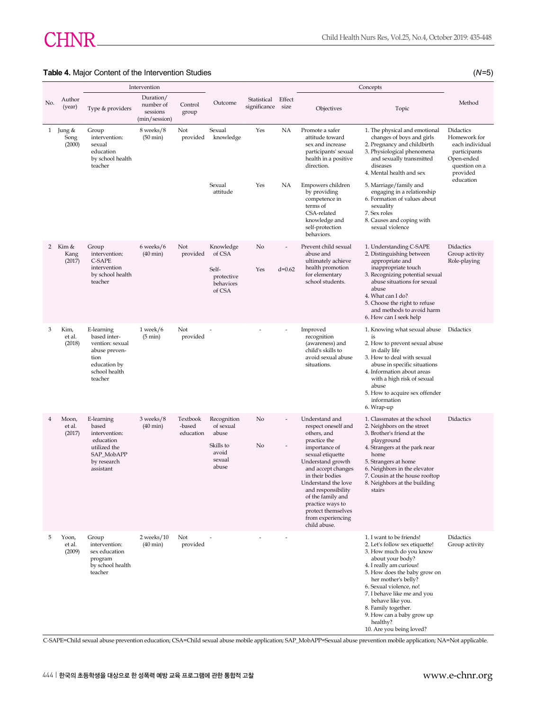### **Table 4.** Major Content of the Intervention Studies (*N*=5)

|     |                              | Intervention                                                                                                       |                                                     |                                 |                                                                            |                             | Concepts       |                                                                                                                                                                                                                                                                                                                          |                                                                                                                                                                                                                                                                                                                                                                       |                                                                                                                      |
|-----|------------------------------|--------------------------------------------------------------------------------------------------------------------|-----------------------------------------------------|---------------------------------|----------------------------------------------------------------------------|-----------------------------|----------------|--------------------------------------------------------------------------------------------------------------------------------------------------------------------------------------------------------------------------------------------------------------------------------------------------------------------------|-----------------------------------------------------------------------------------------------------------------------------------------------------------------------------------------------------------------------------------------------------------------------------------------------------------------------------------------------------------------------|----------------------------------------------------------------------------------------------------------------------|
| No. | Author<br>(year)             | Type & providers                                                                                                   | Duration/<br>number of<br>sessions<br>(min/session) | Control<br>group                | Outcome                                                                    | Statistical<br>significance | Effect<br>size | Objectives                                                                                                                                                                                                                                                                                                               | Topic                                                                                                                                                                                                                                                                                                                                                                 | Method                                                                                                               |
|     | 1 Jung &<br>Song<br>(2000)   | Group<br>intervention:<br>sexual<br>education<br>by school health<br>teacher                                       | 8 weeks/8<br>$(50 \text{ min})$                     | Not<br>provided                 | Sexual<br>knowledge                                                        | Yes                         | NA             | Promote a safer<br>attitude toward<br>sex and increase<br>participants' sexual<br>health in a positive<br>direction.                                                                                                                                                                                                     | 1. The physical and emotional<br>changes of boys and girls<br>2. Pregnancy and childbirth<br>3. Physiological phenomena<br>and sexually transmitted<br>diseases<br>4. Mental health and sex                                                                                                                                                                           | Didactics<br>Homework for<br>each individual<br>participants<br>Open-ended<br>question on a<br>provided<br>education |
|     |                              |                                                                                                                    |                                                     |                                 | Sexual<br>attitude                                                         | Yes                         | NА             | Empowers children<br>by providing<br>competence in<br>terms of<br>CSA-related<br>knowledge and<br>self-protection<br>behaviors.                                                                                                                                                                                          | 5. Marriage/family and<br>engaging in a relationship<br>6. Formation of values about<br>sexuality<br>7. Sex roles<br>8. Causes and coping with<br>sexual violence                                                                                                                                                                                                     |                                                                                                                      |
|     | 2 Kim $\&$<br>Kang<br>(2017) | Group<br>intervention:<br>C-SAPE<br>intervention<br>by school health<br>teacher                                    | 6 weeks/6<br>$(40 \text{ min})$                     | Not<br>provided                 | Knowledge<br>of CSA<br>Self-<br>protective<br>behaviors<br>of CSA          | No<br>Yes                   | $d=0.62$       | Prevent child sexual<br>abuse and<br>ultimately achieve<br>health promotion<br>for elementary<br>school students.                                                                                                                                                                                                        | 1. Understanding C-SAPE<br>2. Distinguishing between<br>appropriate and<br>inappropriate touch<br>3. Recognizing potential sexual<br>abuse situations for sexual<br>abuse<br>4. What can I do?<br>5. Choose the right to refuse<br>and methods to avoid harm<br>6. How can I seek help                                                                                | Didactics<br>Group activity<br>Role-playing                                                                          |
| 3   | Kim,<br>et al.<br>(2018)     | E-learning<br>based inter-<br>vention: sexual<br>abuse preven-<br>tion<br>education by<br>school health<br>teacher | $1$ week/ $6$<br>$(5 \text{ min})$                  | Not<br>provided                 |                                                                            |                             |                | Improved<br>recognition<br>(awareness) and<br>child's skills to<br>avoid sexual abuse<br>situations.                                                                                                                                                                                                                     | 1. Knowing what sexual abuse<br>is<br>2. How to prevent sexual abuse<br>in daily life<br>3. How to deal with sexual<br>abuse in specific situations<br>4. Information about areas<br>with a high risk of sexual<br>abuse<br>5. How to acquire sex offender<br>information<br>6. Wrap-up                                                                               | Didactics                                                                                                            |
| 4   | Moon,<br>et al.<br>(2017)    | E-learning<br>based<br>intervention:<br>education<br>utilized the<br>SAP_MobAPP<br>by research<br>assistant        | 3 weeks/8<br>$(40 \text{ min})$                     | Textbook<br>-based<br>education | Recognition<br>of sexual<br>abuse<br>Skills to<br>avoid<br>sexual<br>abuse | No<br>No                    |                | Understand and<br>respect oneself and<br>others, and<br>practice the<br>importance of<br>sexual etiquette<br>Understand growth<br>and accept changes<br>in their bodies<br>Understand the love<br>and responsibility<br>of the family and<br>practice ways to<br>protect themselves<br>from experiencing<br>child abuse. | 1. Classmates at the school<br>2. Neighbors on the street<br>3. Brother's friend at the<br>playground<br>4. Strangers at the park near<br>home<br>5. Strangers at home<br>6. Neighbors in the elevator<br>7. Cousin at the house rooftop<br>8. Neighbors at the building<br>stairs                                                                                    | <b>Didactics</b>                                                                                                     |
| 5   | Yoon,<br>et al.<br>(2009)    | Group<br>intervention:<br>sex education<br>program<br>by school health<br>teacher                                  | $2$ weeks/ $10$<br>$(40 \text{ min})$               | Not<br>provided                 |                                                                            |                             |                |                                                                                                                                                                                                                                                                                                                          | 1. I want to be friends!<br>2. Let's follow sex etiquette!<br>3. How much do you know<br>about your body?<br>4. I really am curious!<br>5. How does the baby grow on<br>her mother's belly?<br>6. Sexual violence, no!<br>7. I behave like me and you<br>behave like you.<br>8. Family together.<br>9. How can a baby grow up<br>healthy?<br>10. Are you being loved? | Didactics<br>Group activity                                                                                          |

C-SAPE=Child sexual abuse prevention education; CSA=Child sexual abuse mobile application; SAP\_MobAPP=Sexual abuse prevention mobile application; NA=Not applicable.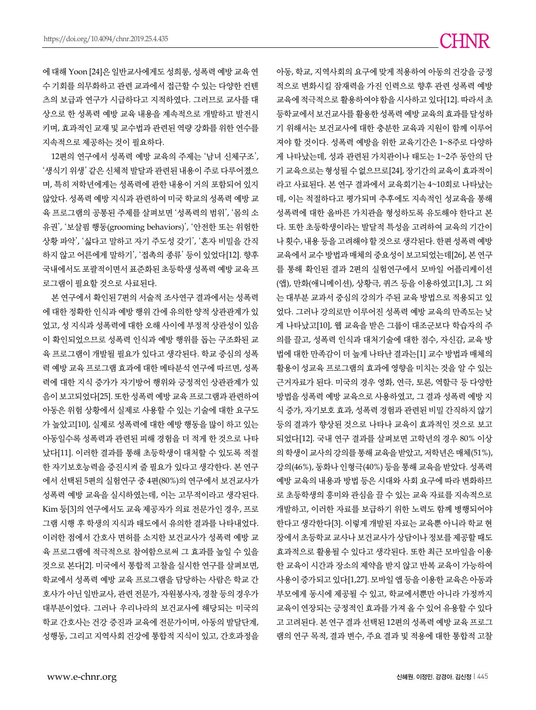에 대해 Yoon [24]은 일반교사에게도 성희롱, 성폭력 예방 교육 연 수 기회를 의무화하고 관련 교과에서 접근할 수 있는 다양한 컨텐 츠의 보급과 연구가 시급하다고 지적하였다. 그러므로 교사를 대 상으로 한 성폭력 예방 교육 내용을 계속적으로 개발하고 발전시 키며, 효과적인 교재 및 교수법과 관련된 역량 강화를 위한 연수를 지속적으로 제공하는 것이 필요하다.

12편의 연구에서 성폭력 예방 교육의 주제는 '남녀 신체구조', '생식기 위생' 같은 신체적 발달과 관련된 내용이 주로 다루어졌으 며, 특히 저학년에게는 성폭력에 관한 내용이 거의 포함되어 있지 않았다. 성폭력 예방 지식과 관련하여 미국 학교의 성폭력 예방 교 육 프로그램의 공통된 주제를 살펴보면 '성폭력의 범위', '몸의 소 유권', '보살핌 행동(grooming behaviors)', '안전한 또는 위험한 상황 파악', '싫다고 말하고 자기 주도성 갖기', '혼자 비밀을 간직 하지 않고 어른에게 말하기', '접촉의 종류' 등이 있었다[12]. 향후 국내에서도 포괄적이면서 표준화된 초등학생 성폭력 예방 교육 프 로그램이 필요할 것으로 사료된다.

본 연구에서 확인된 7편의 서술적 조사연구 결과에서는 성폭력 에 대한 정확한 인식과 예방 행위 간에 유의한 양적 상관관계가 있 었고, 성 지식과 성폭력에 대한 오해 사이에 부정적 상관성이 있음 이 확인되었으므로 성폭력 인식과 예방 행위를 돕는 구조화된 교 육 프로그램이 개발될 필요가 있다고 생각된다. 학교 중심의 성폭 력 예방 교육 프로그램 효과에 대한 메타분석 연구에 따르면, 성폭 력에 대한 지식 증가가 자기방어 행위와 긍정적인 상관관계가 있 음이 보고되었다[25]. 또한 성폭력 예방 교육 프로그램과 관련하여 아동은 위험 상황에서 실제로 사용할 수 있는 기술에 대한 요구도 가 높았고[10], 실제로 성폭력에 대한 예방 행동을 많이 하고 있는 아동일수록 성폭력과 관련된 피해 경험을 더 적게 한 것으로 나타 났다[11]. 이러한 결과를 통해 초등학생이 대처할 수 있도록 적절 한 자기보호능력을 증진시켜 줄 필요가 있다고 생각한다. 본 연구 에서 선택된 5편의 실험연구 중 4편(80%)의 연구에서 보건교사가 성폭력 예방 교육을 실시하였는데, 이는 고무적이라고 생각된다. Kim 등[3]의 연구에서도 교육 제공자가 의료 전문가인 경우, 프로 그램 시행 후 학생의 지식과 태도에서 유의한 결과를 나타내었다. 이러한 점에서 간호사 면허를 소지한 보건교사가 성폭력 예방 교 육 프로그램에 적극적으로 참여함으로써 그 효과를 높일 수 있을 것으로 본다[2]. 미국에서 통합적 고찰을 실시한 연구를 살펴보면, 학교에서 성폭력 예방 교육 프로그램을 담당하는 사람은 학교 간 호사가 아닌 일반교사, 관련 전문가, 자원봉사자, 경찰 등의 경우가 대부분이었다. 그러나 우리나라의 보건교사에 해당되는 미국의 학교 간호사는 건강 증진과 교육에 전문가이며, 아동의 발달단계, 성행동, 그리고 지역사회 건강에 통합적 지식이 있고, 간호과정을

적으로 변화시킬 잠재력을 가진 인력으로 향후 관련 성폭력 예방 교육에 적극적으로 활용하여야 함을 시사하고 있다[12]. 따라서 초 등학교에서 보건교사를 활용한 성폭력 예방 교육의 효과를 달성하 기 위해서는 보건교사에 대한 충분한 교육과 지원이 함께 이루어 져야 할 것이다. 성폭력 예방을 위한 교육기간은 1~8주로 다양하 게 나타났는데, 성과 관련된 가치관이나 태도는 1~2주 동안의 단 기 교육으로는 형성될 수 없으므로[24], 장기간의 교육이 효과적이 라고 사료된다. 본 연구 결과에서 교육회기는 4~10회로 나타났는 데, 이는 적절하다고 평가되며 추후에도 지속적인 성교육을 통해 성폭력에 대한 올바른 가치관을 형성하도록 유도해야 한다고 본 다. 또한 초등학생이라는 발달적 특성을 고려하여 교육의 기간이 나 횟수, 내용 등을 고려해야 할 것으로 생각된다. 한편 성폭력 예방 교육에서 교수 방법과 매체의 중요성이 보고되었는데[26], 본 연구 를 통해 확인된 결과 2편의 실험연구에서 모바일 어플리케이션 (앱), 만화(애니메이션), 상황극, 퀴즈 등을 이용하였고[1,3], 그 외 는 대부분 교과서 중심의 강의가 주된 교육 방법으로 적용되고 있 었다. 그러나 강의로만 이루어진 성폭력 예방 교육의 만족도는 낮 게 나타났고[10], 웹 교육을 받은 그룹이 대조군보다 학습자의 주 의를 끌고, 성폭력 인식과 대처기술에 대한 점수, 자신감, 교육 방 법에 대한 만족감이 더 높게 나타난 결과는[1] 교수 방법과 매체의 활용이 성교육 프로그램의 효과에 영향을 미치는 것을 알 수 있는 근거자료가 된다. 미국의 경우 영화, 연극, 토론, 역할극 등 다양한 방법을 성폭력 예방 교육으로 사용하였고, 그 결과 성폭력 예방 지 식 증가, 자기보호 효과, 성폭력 경험과 관련된 비밀 간직하지 않기 등의 결과가 향상된 것으로 나타나 교육이 효과적인 것으로 보고 되었다[12]. 국내 연구 결과를 살펴보면 고학년의 경우 80% 이상 의 학생이 교사의 강의를 통해 교육을 받았고, 저학년은 매체(51%), 강의(46%), 동화나 인형극(40%) 등을 통해 교육을 받았다. 성폭력 예방 교육의 내용과 방법 등은 시대와 사회 요구에 따라 변화하므 로 초등학생의 흥미와 관심을 끌 수 있는 교육 자료를 지속적으로 개발하고, 이러한 자료를 보급하기 위한 노력도 함께 병행되어야 한다고 생각한다[3]. 이렇게 개발된 자료는 교육뿐 아니라 학교 현 장에서 초등학교 교사나 보건교사가 상담이나 정보를 제공할 때도 효과적으로 활용될 수 있다고 생각된다. 또한 최근 모바일을 이용 한 교육이 시간과 장소의 제약을 받지 않고 반복 교육이 가능하여 사용이 증가되고 있다[1,27]. 모바일 앱 등을 이용한 교육은 아동과 부모에게 동시에 제공될 수 있고, 학교에서뿐만 아니라 가정까지 교육이 연장되는 긍정적인 효과를 가져 올 수 있어 유용할 수 있다 고 고려된다. 본 연구 결과 선택된 12편의 성폭력 예방 교육 프로그 램의 연구 목적, 결과 변수, 주요 결과 및 적용에 대한 통합적 고찰

아동, 학교, 지역사회의 요구에 맞게 적용하여 아동의 건강을 긍정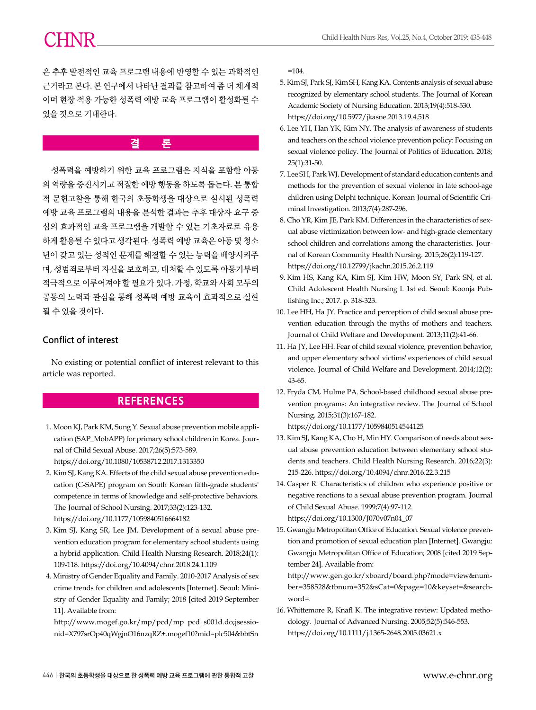은 추후 발전적인 교육 프로그램 내용에 반영할 수 있는 과학적인 근거라고 본다. 본 연구에서 나타난 결과를 참고하여 좀 더 체계적 이며 현장 적용 가능한 성폭력 예방 교육 프로그램이 활성화될 수 있을 것으로 기대한다.

**결 론**

성폭력을 예방하기 위한 교육 프로그램은 지식을 포함한 아동 의 역량을 증진시키고 적절한 예방 행동을 하도록 돕는다. 본 통합 적 문헌고찰을 통해 한국의 초등학생을 대상으로 실시된 성폭력 예방 교육 프로그램의 내용을 분석한 결과는 추후 대상자 요구 중 심의 효과적인 교육 프로그램을 개발할 수 있는 기초자료로 유용 하게 활용될 수 있다고 생각된다. 성폭력 예방 교육은 아동 및 청소 년이 갖고 있는 성적인 문제를 해결할 수 있는 능력을 배양시켜주 며, 성범죄로부터 자신을 보호하고, 대처할 수 있도록 아동기부터 적극적으로 이루어져야 할 필요가 있다. 가정, 학교와 사회 모두의 공동의 노력과 관심을 통해 성폭력 예방 교육이 효과적으로 실현 될 수 있을 것이다.

### **Conflict of interest**

No existing or potential conflict of interest relevant to this article was reported.

# **REFERENCES**

- 1. Moon KJ, Park KM, Sung Y. Sexual abuse prevention mobile application (SAP\_MobAPP) for primary school children in Korea. Journal of Child Sexual Abuse. 2017;26(5):573-589. https://doi.org/10.1080/10538712.2017.1313350
- 2. Kim SJ, Kang KA. Effects of the child sexual abuse prevention education (C-SAPE) program on South Korean fifth-grade students' competence in terms of knowledge and self-protective behaviors. The Journal of School Nursing. 2017;33(2):123-132. https://doi.org/10.1177/1059840516664182
- 3. Kim SJ, Kang SR, Lee JM. Development of a sexual abuse prevention education program for elementary school students using a hybrid application. Child Health Nursing Research. 2018;24(1): 109-118. https://doi.org/10.4094/chnr.2018.24.1.109
- 4. Ministry of Gender Equality and Family. 2010-2017 Analysis of sex crime trends for children and adolescents [Internet]. Seoul: Ministry of Gender Equality and Family; 2018 [cited 2019 September 11]. Available from:

http://www.mogef.go.kr/mp/pcd/mp\_pcd\_s001d.do;jsessionid=X797srOp40qWgjnO16nzqRZ+.mogef10?mid=plc504&bbtSn  $=104.$ 

- 5. Kim SJ, Park SJ, Kim SH, Kang KA. Contents analysis of sexual abuse recognized by elementary school students. The Journal of Korean Academic Society of Nursing Education. 2013;19(4):518-530. https://doi.org/10.5977/jkasne.2013.19.4.518
- 6. Lee YH, Han YK, Kim NY. The analysis of awareness of students and teachers on the school violence prevention policy: Focusing on sexual violence policy. The Journal of Politics of Education. 2018; 25(1):31-50.
- 7. Lee SH, Park WJ. Development of standard education contents and methods for the prevention of sexual violence in late school-age children using Delphi technique. Korean Journal of Scientific Criminal Investigation. 2013;7(4):287-296.
- 8. Cho YR, Kim JE, Park KM. Differences in the characteristics of sexual abuse victimization between low- and high-grade elementary school children and correlations among the characteristics. Journal of Korean Community Health Nursing. 2015;26(2):119-127. https://doi.org/10.12799/jkachn.2015.26.2.119
- 9. Kim HS, Kang KA, Kim SJ, Kim HW, Moon SY, Park SN, et al. Child Adolescent Health Nursing I. 1st ed. Seoul: Koonja Publishing Inc.; 2017. p. 318-323.
- 10. Lee HH, Ha JY. Practice and perception of child sexual abuse prevention education through the myths of mothers and teachers. Journal of Child Welfare and Development. 2013;11(2):41-66.
- 11. Ha JY, Lee HH. Fear of child sexual violence, prevention behavior, and upper elementary school victims' experiences of child sexual violence. Journal of Child Welfare and Development. 2014;12(2): 43-65.
- 12. Fryda CM, Hulme PA. School-based childhood sexual abuse prevention programs: An integrative review. The Journal of School Nursing. 2015;31(3):167-182.

https://doi.org/10.1177/1059840514544125

- 13. Kim SJ, Kang KA, Cho H, Min HY. Comparison of needs about sexual abuse prevention education between elementary school students and teachers. Child Health Nursing Research. 2016;22(3): 215-226. https://doi.org/10.4094/chnr.2016.22.3.215
- 14. Casper R. Characteristics of children who experience positive or negative reactions to a sexual abuse prevention program. Journal of Child Sexual Abuse. 1999;7(4):97-112. https://doi.org/10.1300/J070v07n04\_07
- 15. Gwangju Metropolitan Office of Education. Sexual violence prevention and promotion of sexual education plan [Internet]. Gwangju: Gwangju Metropolitan Office of Education; 2008 [cited 2019 September 24]. Available from:

http://www.gen.go.kr/xboard/board.php?mode=view&number=358528&tbnum=352&sCat=0&page=10&keyset=&searchword=.

16. Whittemore R, Knafl K. The integrative review: Updated methodology. Journal of Advanced Nursing. 2005;52(5):546-553. https://doi.org/10.1111/j.1365-2648.2005.03621.x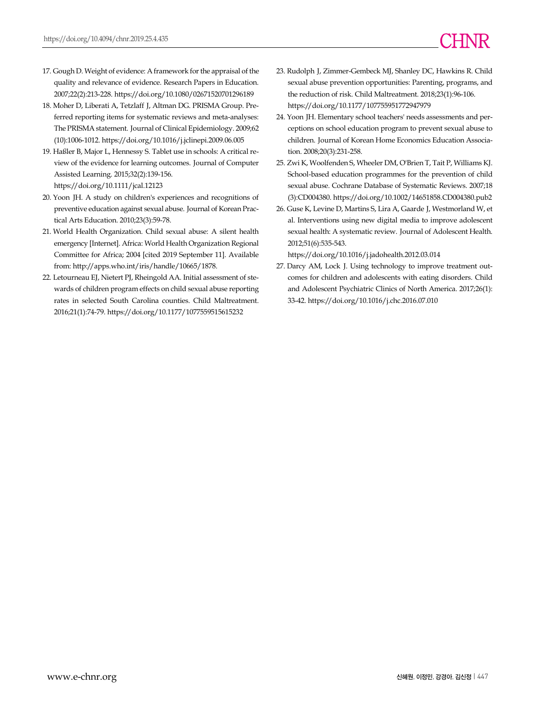- 17. Gough D. Weight of evidence: A framework for the appraisal of the quality and relevance of evidence. Research Papers in Education. 2007;22(2):213-228. https://doi.org/10.1080/02671520701296189
- 18. Moher D, Liberati A, Tetzlaff J, Altman DG. PRISMA Group. Preferred reporting items for systematic reviews and meta-analyses: The PRISMA statement. Journal of Clinical Epidemiology. 2009;62 (10):1006-1012. https://doi.org/10.1016/j.jclinepi.2009.06.005
- 19. Haßler B, Major L, Hennessy S. Tablet use in schools: A critical review of the evidence for learning outcomes. Journal of Computer Assisted Learning. 2015;32(2):139-156. https://doi.org/10.1111/jcal.12123
- 20. Yoon JH. A study on children's experiences and recognitions of preventive education against sexual abuse. Journal of Korean Practical Arts Education. 2010;23(3):59-78.
- 21. World Health Organization. Child sexual abuse: A silent health emergency [Internet]. Africa: World Health Organization Regional Committee for Africa; 2004 [cited 2019 September 11]. Available from: http://apps.who.int/iris/handle/10665/1878.
- 22. Letourneau EJ, Nietert PJ, Rheingold AA. Initial assessment of stewards of children program effects on child sexual abuse reporting rates in selected South Carolina counties. Child Maltreatment. 2016;21(1):74-79. https://doi.org/10.1177/1077559515615232
- 23. Rudolph J, Zimmer-Gembeck MJ, Shanley DC, Hawkins R. Child sexual abuse prevention opportunities: Parenting, programs, and the reduction of risk. Child Maltreatment. 2018;23(1):96-106. https://doi.org/10.1177/107755951772947979
- 24. Yoon JH. Elementary school teachers' needs assessments and perceptions on school education program to prevent sexual abuse to children. Journal of Korean Home Economics Education Association. 2008;20(3):231-258.
- 25. Zwi K, Woolfenden S, Wheeler DM, O'Brien T, Tait P, Williams KJ. School-based education programmes for the prevention of child sexual abuse. Cochrane Database of Systematic Reviews. 2007;18 (3):CD004380. https://doi.org/10.1002/14651858.CD004380.pub2
- 26. Guse K, Levine D, Martins S, Lira A, Gaarde J, Westmorland W, et al. Interventions using new digital media to improve adolescent sexual health: A systematic review. Journal of Adolescent Health. 2012;51(6):535-543.

https://doi.org/10.1016/j.jadohealth.2012.03.014

27. Darcy AM, Lock J. Using technology to improve treatment outcomes for children and adolescents with eating disorders. Child and Adolescent Psychiatric Clinics of North America. 2017;26(1): 33-42. https://doi.org/10.1016/j.chc.2016.07.010